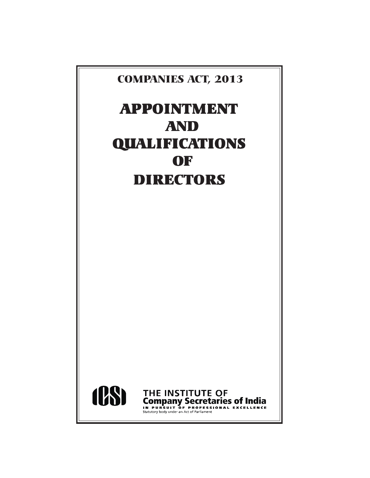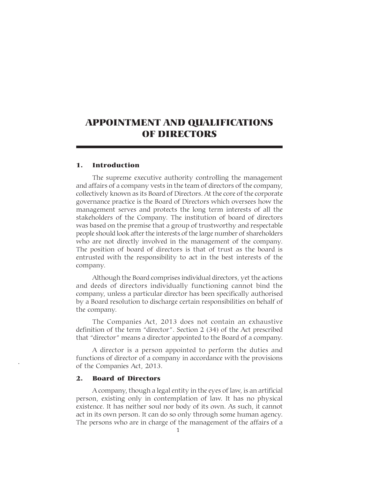# APPOINTMENT AND QUALIFICATIONS OF DIRECTORS

#### 1. Introduction

The supreme executive authority controlling the management and affairs of a company vests in the team of directors of the company, collectively known as its Board of Directors. At the core of the corporate governance practice is the Board of Directors which oversees how the management serves and protects the long term interests of all the stakeholders of the Company. The institution of board of directors was based on the premise that a group of trustworthy and respectable people should look after the interests of the large number of shareholders who are not directly involved in the management of the company. The position of board of directors is that of trust as the board is entrusted with the responsibility to act in the best interests of the company.

Although the Board comprises individual directors, yet the actions and deeds of directors individually functioning cannot bind the company, unless a particular director has been specifically authorised by a Board resolution to discharge certain responsibilities on behalf of the company.

The Companies Act, 2013 does not contain an exhaustive definition of the term "director". Section 2 (34) of the Act prescribed that "director" means a director appointed to the Board of a company.

A director is a person appointed to perform the duties and functions of director of a company in accordance with the provisions of the Companies Act, 2013.

# 2. Board of Directors

A company, though a legal entity in the eyes of law, is an artificial person, existing only in contemplation of law. It has no physical existence. It has neither soul nor body of its own. As such, it cannot act in its own person. It can do so only through some human agency. The persons who are in charge of the management of the affairs of a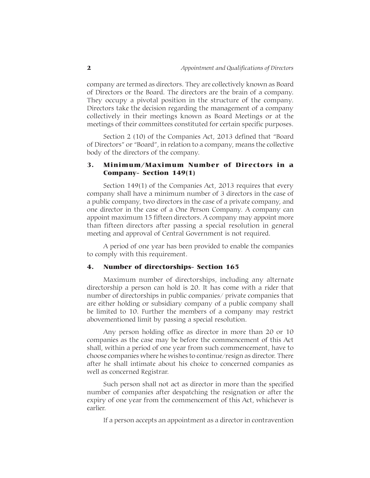company are termed as directors. They are collectively known as Board of Directors or the Board. The directors are the brain of a company. They occupy a pivotal position in the structure of the company. Directors take the decision regarding the management of a company collectively in their meetings known as Board Meetings or at the meetings of their committees constituted for certain specific purposes.

Section 2 (10) of the Companies Act, 2013 defined that "Board of Directors" or "Board", in relation to a company, means the collective body of the directors of the company.

# 3. Minimum/Maximum Number of Directors in a Company- Section 149(1)

Section 149(1) of the Companies Act, 2013 requires that every company shall have a minimum number of 3 directors in the case of a public company, two directors in the case of a private company, and one director in the case of a One Person Company. A company can appoint maximum 15 fifteen directors. A company may appoint more than fifteen directors after passing a special resolution in general meeting and approval of Central Government is not required.

A period of one year has been provided to enable the companies to comply with this requirement.

#### 4. Number of directorships- Section 165

Maximum number of directorships, including any alternate directorship a person can hold is 20. It has come with a rider that number of directorships in public companies/ private companies that are either holding or subsidiary company of a public company shall be limited to 10. Further the members of a company may restrict abovementioned limit by passing a special resolution.

Any person holding office as director in more than 20 or 10 companies as the case may be before the commencement of this Act shall, within a period of one year from such commencement, have to choose companies where he wishes to continue/resign as director. There after he shall intimate about his choice to concerned companies as well as concerned Registrar.

Such person shall not act as director in more than the specified number of companies after despatching the resignation or after the expiry of one year from the commencement of this Act, whichever is earlier.

If a person accepts an appointment as a director in contravention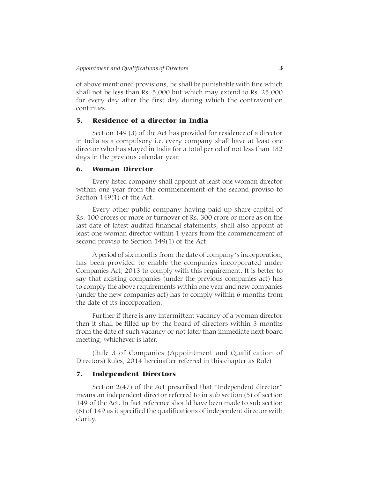of above mentioned provisions, he shall be punishable with fine which shall not be less than Rs. 5,000 but which may extend to Rs. 25,000 for every day after the first day during which the contravention continues.

# 5. Residence of a director in India

Section 149 (3) of the Act has provided for residence of a director in India as a compulsory i.e. every company shall have at least one director who has stayed in India for a total period of not less than 182 days in the previous calendar year.

# 6. Woman Director

Every listed company shall appoint at least one woman director within one year from the commencement of the second proviso to Section 149(1) of the Act.

Every other public company having paid up share capital of Rs. 100 crores or more or turnover of Rs. 300 crore or more as on the last date of latest audited financial statements, shall also appoint at least one woman director within 1 years from the commencement of second proviso to Section 149(1) of the Act.

A period of six months from the date of company's incorporation, has been provided to enable the companies incorporated under Companies Act, 2013 to comply with this requirement. It is better to say that existing companies (under the previous companies act) has to comply the above requirements within one year and new companies (under the new companies act) has to comply within 6 months from the date of its incorporation.

Further if there is any intermittent vacancy of a woman director then it shall be filled up by the board of directors within 3 months from the date of such vacancy or not later than immediate next board meeting, whichever is later.

(Rule 3 of Companies (Appointment and Qualification of Directors) Rules, 2014 hereinafter referred in this chapter as Rule)

#### 7. Independent Directors

Section 2(47) of the Act prescribed that "Independent director" means an independent director referred to in sub section (5) of section 149 of the Act. In fact reference should have been made to sub section (6) of 149 as it specified the qualifications of independent director with clarity.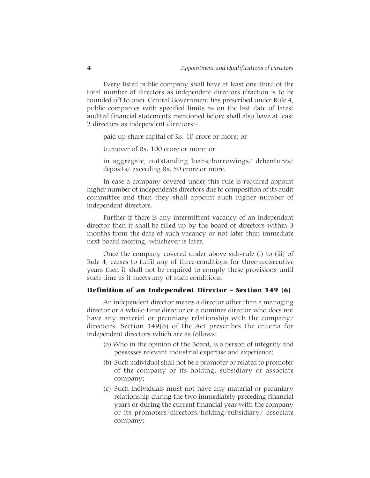Every listed public company shall have at least one-third of the total number of directors as independent directors (fraction is to be rounded off to one). Central Government has prescribed under Rule 4, public companies with specified limits as on the last date of latest audited financial statements mentioned below shall also have at least 2 directors as independent directors:-

paid up share capital of Rs. 10 crore or more; or

turnover of Rs. 100 crore or more; or

in aggregate, outstanding loans/borrowings/ debentures/ deposits/ exceeding Rs. 50 crore or more.

In case a company covered under this rule is required appoint higher number of independents directors due to composition of its audit committee and then they shall appoint such higher number of independent directors.

Further if there is any intermittent vacancy of an independent director then it shall be filled up by the board of directors within 3 months from the date of such vacancy or not later than immediate next board meeting, whichever is later.

Once the company covered under above sub-rule (i) to (iii) of Rule 4, ceases to fulfil any of three conditions for three consecutive years then it shall not be required to comply these provisions until such time as it meets any of such conditions.

#### Definition of an Independent Director – Section 149 (6)

An independent director means a director other than a managing director or a whole-time director or a nominee director who does not have any material or pecuniary relationship with the company/ directors. Section 149(6) of the Act prescribes the criteria for independent directors which are as follows:

- (a) Who in the opinion of the Board, is a person of integrity and possesses relevant industrial expertise and experience;
- (b) Such individual shall not be a promoter or related to promoter of the company or its holding, subsidiary or associate company;
- (c) Such individuals must not have any material or pecuniary relationship during the two immediately preceding financial years or during the current financial year with the company or its promoters/directors/holding/subsidiary/ associate company;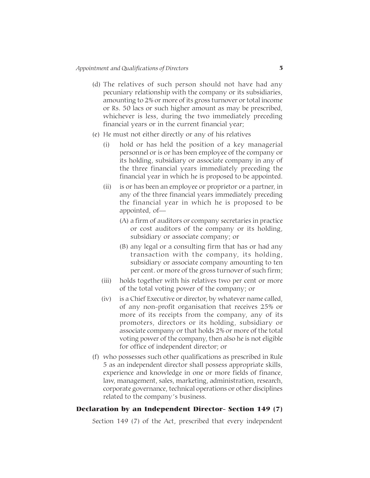- (d) The relatives of such person should not have had any pecuniary relationship with the company or its subsidiaries, amounting to 2% or more of its gross turnover or total income or Rs. 50 lacs or such higher amount as may be prescribed, whichever is less, during the two immediately preceding financial years or in the current financial year;
- (e) He must not either directly or any of his relatives
	- (i) hold or has held the position of a key managerial personnel or is or has been employee of the company or its holding, subsidiary or associate company in any of the three financial years immediately preceding the financial year in which he is proposed to be appointed.
	- (ii) is or has been an employee or proprietor or a partner, in any of the three financial years immediately preceding the financial year in which he is proposed to be appointed, of—
		- (A) a firm of auditors or company secretaries in practice or cost auditors of the company or its holding, subsidiary or associate company; or
		- (B) any legal or a consulting firm that has or had any transaction with the company, its holding, subsidiary or associate company amounting to ten per cent. or more of the gross turnover of such firm;
	- (iii) holds together with his relatives two per cent or more of the total voting power of the company; or
	- (iv) is a Chief Executive or director, by whatever name called, of any non-profit organisation that receives 25% or more of its receipts from the company, any of its promoters, directors or its holding, subsidiary or associate company or that holds 2% or more of the total voting power of the company, then also he is not eligible for office of independent director; or
- (f) who possesses such other qualifications as prescribed in Rule 5 as an independent director shall possess appropriate skills, experience and knowledge in one or more fields of finance, law, management, sales, marketing, administration, research, corporate governance, technical operations or other disciplines related to the company's business.

# Declaration by an Independent Director- Section 149 (7)

Section 149 (7) of the Act, prescribed that every independent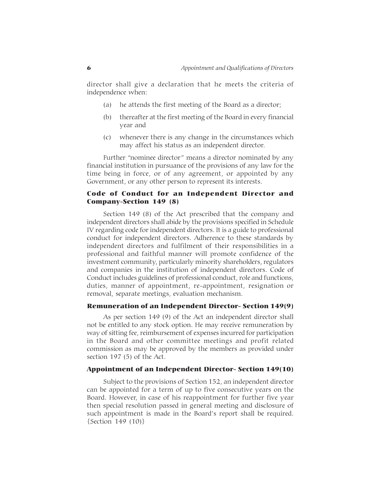director shall give a declaration that he meets the criteria of independence when:

- (a) he attends the first meeting of the Board as a director;
- (b) thereafter at the first meeting of the Board in every financial year and
- (c) whenever there is any change in the circumstances which may affect his status as an independent director.

Further "nominee director" means a director nominated by any financial institution in pursuance of the provisions of any law for the time being in force, or of any agreement, or appointed by any Government, or any other person to represent its interests.

# Code of Conduct for an Independent Director and Company-Section 149 (8)

Section 149 (8) of the Act prescribed that the company and independent directors shall abide by the provisions specified in Schedule IV regarding code for independent directors. It is a guide to professional conduct for independent directors. Adherence to these standards by independent directors and fulfilment of their responsibilities in a professional and faithful manner will promote confidence of the investment community, particularly minority shareholders, regulators and companies in the institution of independent directors. Code of Conduct includes guidelines of professional conduct, role and functions, duties, manner of appointment, re-appointment, resignation or removal, separate meetings, evaluation mechanism.

#### Remuneration of an Independent Director- Section 149(9)

As per section 149 (9) of the Act an independent director shall not be entitled to any stock option. He may receive remuneration by way of sitting fee, reimbursement of expenses incurred for participation in the Board and other committee meetings and profit related commission as may be approved by the members as provided under section 197 (5) of the Act.

# Appointment of an Independent Director- Section 149(10)

Subject to the provisions of Section 152, an independent director can be appointed for a term of up to five consecutive years on the Board. However, in case of his reappointment for further five year then special resolution passed in general meeting and disclosure of such appointment is made in the Board's report shall be required. {Section 149 (10)}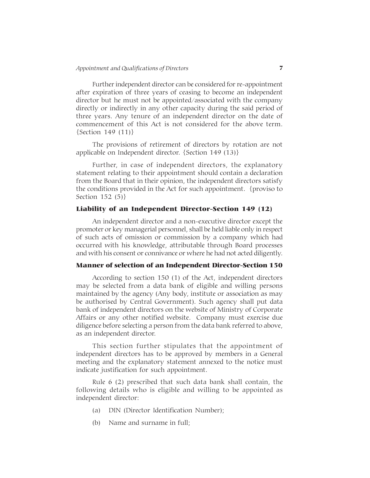Further independent director can be considered for re-appointment after expiration of three years of ceasing to become an independent director but he must not be appointed/associated with the company directly or indirectly in any other capacity during the said period of three years. Any tenure of an independent director on the date of commencement of this Act is not considered for the above term. {Section 149 (11)}

The provisions of retirement of directors by rotation are not applicable on Independent director. {Section 149 (13)}

Further, in case of independent directors, the explanatory statement relating to their appointment should contain a declaration from the Board that in their opinion, the independent directors satisfy the conditions provided in the Act for such appointment. {proviso to Section 152 (5)}

# Liability of an Independent Director-Section 149 (12)

An independent director and a non-executive director except the promoter or key managerial personnel, shall be held liable only in respect of such acts of omission or commission by a company which had occurred with his knowledge, attributable through Board processes and with his consent or connivance or where he had not acted diligently.

# Manner of selection of an Independent Director-Section 150

According to section 150 (1) of the Act, independent directors may be selected from a data bank of eligible and willing persons maintained by the agency (Any body, institute or association as may be authorised by Central Government). Such agency shall put data bank of independent directors on the website of Ministry of Corporate Affairs or any other notified website. Company must exercise due diligence before selecting a person from the data bank referred to above, as an independent director.

This section further stipulates that the appointment of independent directors has to be approved by members in a General meeting and the explanatory statement annexed to the notice must indicate justification for such appointment.

Rule 6 (2) prescribed that such data bank shall contain, the following details who is eligible and willing to be appointed as independent director:

- (a) DIN (Director Identification Number);
- (b) Name and surname in full;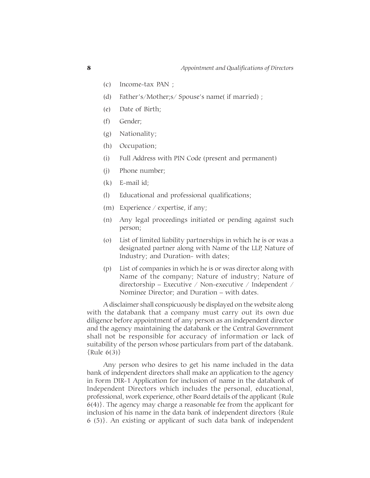- (c) Income-tax PAN ;
- (d) Father's/Mother;s/ Spouse's name( if married) ;
- (e) Date of Birth;
- (f) Gender;
- (g) Nationality;
- (h) Occupation;
- (i) Full Address with PIN Code (present and permanent)
- (j) Phone number;
- (k) E-mail id;
- (l) Educational and professional qualifications;
- (m) Experience / expertise, if any;
- (n) Any legal proceedings initiated or pending against such person;
- (o) List of limited liability partnerships in which he is or was a designated partner along with Name of the LLP, Nature of Industry; and Duration- with dates;
- (p) List of companies in which he is or was director along with Name of the company; Nature of industry; Nature of directorship – Executive / Non-executive / Independent / Nominee Director; and Duration – with dates.

A disclaimer shall conspicuously be displayed on the website along with the databank that a company must carry out its own due diligence before appointment of any person as an independent director and the agency maintaining the databank or the Central Government shall not be responsible for accuracy of information or lack of suitability of the person whose particulars from part of the databank.  $\{Rule 6(3)\}$ 

Any person who desires to get his name included in the data bank of independent directors shall make an application to the agency in Form DIR-1 Application for inclusion of name in the databank of Independent Directors which includes the personal, educational, professional, work experience, other Board details of the applicant {Rule 6(4)}. The agency may charge a reasonable fee from the applicant for inclusion of his name in the data bank of independent directors {Rule 6 (5)}. An existing or applicant of such data bank of independent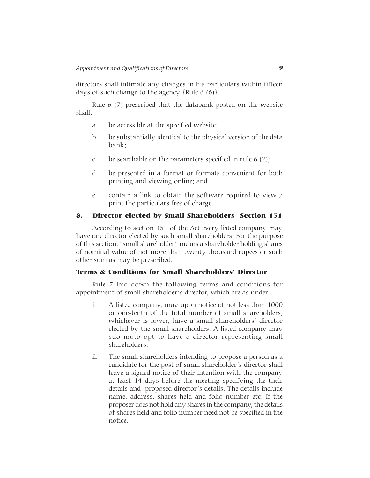directors shall intimate any changes in his particulars within fifteen days of such change to the agency  $\{Rule 6 (6)\}.$ 

Rule 6 (7) prescribed that the databank posted on the website shall:

- a. be accessible at the specified website;
- b. be substantially identical to the physical version of the data bank;
- c. be searchable on the parameters specified in rule  $6(2)$ ;
- d. be presented in a format or formats convenient for both printing and viewing online; and
- e. contain a link to obtain the software required to view / print the particulars free of charge.

# 8. Director elected by Small Shareholders- Section 151

According to section 151 of the Act every listed company may have one director elected by such small shareholders. For the purpose of this section, "small shareholder" means a shareholder holding shares of nominal value of not more than twenty thousand rupees or such other sum as may be prescribed.

# Terms & Conditions for Small Shareholders' Director

Rule 7 laid down the following terms and conditions for appointment of small shareholder's director, which are as under:

- i. A listed company, may upon notice of not less than 1000 or one-tenth of the total number of small shareholders, whichever is lower, have a small shareholders' director elected by the small shareholders. A listed company may suo moto opt to have a director representing small shareholders.
- ii. The small shareholders intending to propose a person as a candidate for the post of small shareholder's director shall leave a signed notice of their intention with the company at least 14 days before the meeting specifying the their details and proposed director's details. The details include name, address, shares held and folio number etc. If the proposer does not hold any shares in the company, the details of shares held and folio number need not be specified in the notice.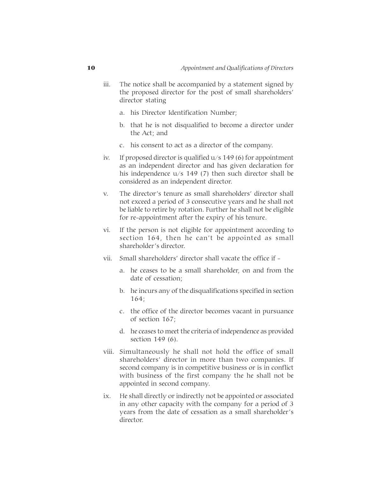- iii. The notice shall be accompanied by a statement signed by the proposed director for the post of small shareholders' director stating
	- a. his Director Identification Number;
	- b. that he is not disqualified to become a director under the Act; and
	- c. his consent to act as a director of the company.
- iv. If proposed director is qualified u/s 149 (6) for appointment as an independent director and has given declaration for his independence u/s 149 (7) then such director shall be considered as an independent director.
- v. The director's tenure as small shareholders' director shall not exceed a period of 3 consecutive years and he shall not be liable to retire by rotation. Further he shall not be eligible for re-appointment after the expiry of his tenure.
- vi. If the person is not eligible for appointment according to section 164, then he can't be appointed as small shareholder's director.
- vii. Small shareholders' director shall vacate the office if
	- a. he ceases to be a small shareholder, on and from the date of cessation;
	- b. he incurs any of the disqualifications specified in section 164;
	- c. the office of the director becomes vacant in pursuance of section 167;
	- d. he ceases to meet the criteria of independence as provided section 149 (6).
- viii. Simultaneously he shall not hold the office of small shareholders' director in more than two companies. If second company is in competitive business or is in conflict with business of the first company the he shall not be appointed in second company.
- ix. He shall directly or indirectly not be appointed or associated in any other capacity with the company for a period of 3 years from the date of cessation as a small shareholder's director.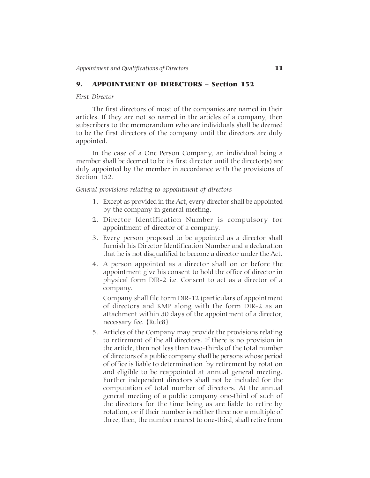#### 9. APPOINTMENT OF DIRECTORS – Section 152

#### *First Director*

The first directors of most of the companies are named in their articles. If they are not so named in the articles of a company, then subscribers to the memorandum who are individuals shall be deemed to be the first directors of the company until the directors are duly appointed.

In the case of a One Person Company, an individual being a member shall be deemed to be its first director until the director(s) are duly appointed by the member in accordance with the provisions of Section 152.

# *General provisions relating to appointment of directors*

- 1. Except as provided in the Act, every director shall be appointed by the company in general meeting.
- 2. Director Identification Number is compulsory for appointment of director of a company.
- 3. Every person proposed to be appointed as a director shall furnish his Director Identification Number and a declaration that he is not disqualified to become a director under the Act.
- 4. A person appointed as a director shall on or before the appointment give his consent to hold the office of director in physical form DIR-2 i.e. Consent to act as a director of a company.

Company shall file Form DIR-12 (particulars of appointment of directors and KMP along with the form DIR-2 as an attachment within 30 days of the appointment of a director, necessary fee. {Rule8}

5. Articles of the Company may provide the provisions relating to retirement of the all directors. If there is no provision in the article, then not less than two-thirds of the total number of directors of a public company shall be persons whose period of office is liable to determination by retirement by rotation and eligible to be reappointed at annual general meeting. Further independent directors shall not be included for the computation of total number of directors. At the annual general meeting of a public company one-third of such of the directors for the time being as are liable to retire by rotation, or if their number is neither three nor a multiple of three, then, the number nearest to one-third, shall retire from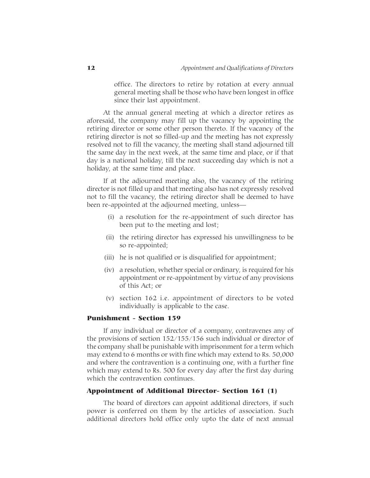office. The directors to retire by rotation at every annual general meeting shall be those who have been longest in office since their last appointment.

At the annual general meeting at which a director retires as aforesaid, the company may fill up the vacancy by appointing the retiring director or some other person thereto. If the vacancy of the retiring director is not so filled-up and the meeting has not expressly resolved not to fill the vacancy, the meeting shall stand adjourned till the same day in the next week, at the same time and place, or if that day is a national holiday, till the next succeeding day which is not a holiday, at the same time and place.

If at the adjourned meeting also, the vacancy of the retiring director is not filled up and that meeting also has not expressly resolved not to fill the vacancy, the retiring director shall be deemed to have been re-appointed at the adjourned meeting, unless—

- (i) a resolution for the re-appointment of such director has been put to the meeting and lost;
- (ii) the retiring director has expressed his unwillingness to be so re-appointed;
- (iii) he is not qualified or is disqualified for appointment;
- (iv) a resolution, whether special or ordinary, is required for his appointment or re-appointment by virtue of any provisions of this Act; or
- (v) section 162 i.e. appointment of directors to be voted individually is applicable to the case.

# Punishment - Section 159

If any individual or director of a company, contravenes any of the provisions of section 152/155/156 such individual or director of the company shall be punishable with imprisonment for a term which may extend to 6 months or with fine which may extend to Rs. 50,000 and where the contravention is a continuing one, with a further fine which may extend to Rs. 500 for every day after the first day during which the contravention continues.

#### Appointment of Additional Director- Section 161 (1)

The board of directors can appoint additional directors, if such power is conferred on them by the articles of association. Such additional directors hold office only upto the date of next annual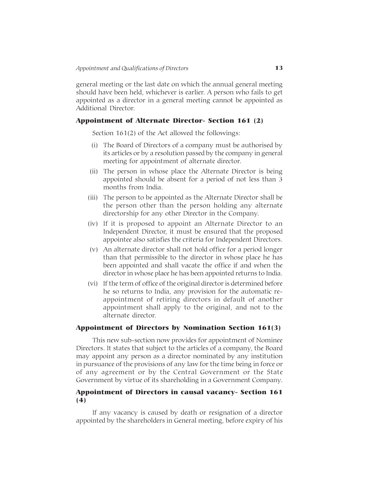general meeting or the last date on which the annual general meeting should have been held, whichever is earlier. A person who fails to get appointed as a director in a general meeting cannot be appointed as Additional Director.

#### Appointment of Alternate Director- Section 161 (2)

Section 161(2) of the Act allowed the followings:

- (i) The Board of Directors of a company must be authorised by its articles or by a resolution passed by the company in general meeting for appointment of alternate director.
- (ii) The person in whose place the Alternate Director is being appointed should be absent for a period of not less than 3 months from India.
- (iii) The person to be appointed as the Alternate Director shall be the person other than the person holding any alternate directorship for any other Director in the Company.
- (iv) If it is proposed to appoint an Alternate Director to an Independent Director, it must be ensured that the proposed appointee also satisfies the criteria for Independent Directors.
- (v) An alternate director shall not hold office for a period longer than that permissible to the director in whose place he has been appointed and shall vacate the office if and when the director in whose place he has been appointed returns to India.
- (vi) If the term of office of the original director is determined before he so returns to India, any provision for the automatic reappointment of retiring directors in default of another appointment shall apply to the original, and not to the alternate director.

#### Appointment of Directors by Nomination Section 161(3)

This new sub-section now provides for appointment of Nominee Directors. It states that subject to the articles of a company, the Board may appoint any person as a director nominated by any institution in pursuance of the provisions of any law for the time being in force or of any agreement or by the Central Government or the State Government by virtue of its shareholding in a Government Company.

# Appointment of Directors in causal vacancy- Section 161 (4)

If any vacancy is caused by death or resignation of a director appointed by the shareholders in General meeting, before expiry of his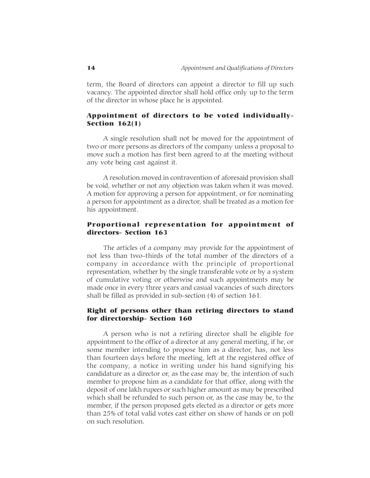term, the Board of directors can appoint a director to fill up such vacancy. The appointed director shall hold office only up to the term of the director in whose place he is appointed.

# Appointment of directors to be voted individually-Section 162(1)

A single resolution shall not be moved for the appointment of two or more persons as directors of the company unless a proposal to move such a motion has first been agreed to at the meeting without any vote being cast against it.

A resolution moved in contravention of aforesaid provision shall be void, whether or not any objection was taken when it was moved. A motion for approving a person for appointment, or for nominating a person for appointment as a director, shall be treated as a motion for his appointment.

# Proportional representation for appointment of directors- Section 163

The articles of a company may provide for the appointment of not less than two-thirds of the total number of the directors of a company in accordance with the principle of proportional representation, whether by the single transferable vote or by a system of cumulative voting or otherwise and such appointments may be made once in every three years and casual vacancies of such directors shall be filled as provided in sub-section (4) of section 161.

# Right of persons other than retiring directors to stand for directorship- Section 160

A person who is not a retiring director shall be eligible for appointment to the office of a director at any general meeting, if he, or some member intending to propose him as a director, has, not less than fourteen days before the meeting, left at the registered office of the company, a notice in writing under his hand signifying his candidature as a director or, as the case may be, the intention of such member to propose him as a candidate for that office, along with the deposit of one lakh rupees or such higher amount as may be prescribed which shall be refunded to such person or, as the case may be, to the member, if the person proposed gets elected as a director or gets more than 25% of total valid votes cast either on show of hands or on poll on such resolution.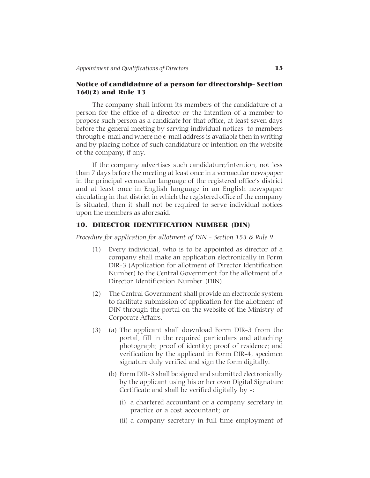# Notice of candidature of a person for directorship- Section 160(2) and Rule 13

The company shall inform its members of the candidature of a person for the office of a director or the intention of a member to propose such person as a candidate for that office, at least seven days before the general meeting by serving individual notices to members through e-mail and where no e-mail address is available then in writing and by placing notice of such candidature or intention on the website of the company, if any.

If the company advertises such candidature/intention, not less than 7 days before the meeting at least once in a vernacular newspaper in the principal vernacular language of the registered office's district and at least once in English language in an English newspaper circulating in that district in which the registered office of the company is situated, then it shall not be required to serve individual notices upon the members as aforesaid.

#### 10. DIRECTOR IDENTIFICATION NUMBER (DIN)

*Procedure for application for allotment of DIN - Section 153 & Rule 9*

- (1) Every individual, who is to be appointed as director of a company shall make an application electronically in Form DIR-3 (Application for allotment of Director Identification Number) to the Central Government for the allotment of a Director Identification Number (DIN).
- (2) The Central Government shall provide an electronic system to facilitate submission of application for the allotment of DIN through the portal on the website of the Ministry of Corporate Affairs.
- (3) (a) The applicant shall download Form DIR-3 from the portal, fill in the required particulars and attaching photograph; proof of identity; proof of residence; and verification by the applicant in Form DIR-4, specimen signature duly verified and sign the form digitally.
	- (b) Form DIR-3 shall be signed and submitted electronically by the applicant using his or her own Digital Signature Certificate and shall be verified digitally by -:
		- (i) a chartered accountant or a company secretary in practice or a cost accountant; or
		- (ii) a company secretary in full time employment of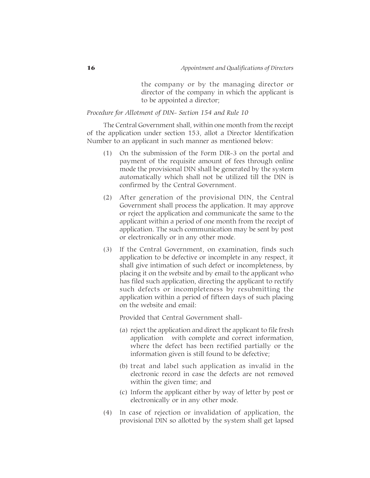the company or by the managing director or director of the company in which the applicant is to be appointed a director;

*Procedure for Allotment of DIN- Section 154 and Rule 10*

The Central Government shall, within one month from the receipt of the application under section 153, allot a Director Identification Number to an applicant in such manner as mentioned below:

- (1) On the submission of the Form DIR-3 on the portal and payment of the requisite amount of fees through online mode the provisional DIN shall be generated by the system automatically which shall not be utilized till the DIN is confirmed by the Central Government.
- (2) After generation of the provisional DIN, the Central Government shall process the application. It may approve or reject the application and communicate the same to the applicant within a period of one month from the receipt of application. The such communication may be sent by post or electronically or in any other mode.
- (3) If the Central Government, on examination, finds such application to be defective or incomplete in any respect, it shall give intimation of such defect or incompleteness, by placing it on the website and by email to the applicant who has filed such application, directing the applicant to rectify such defects or incompleteness by resubmitting the application within a period of fifteen days of such placing on the website and email:

Provided that Central Government shall-

- (a) reject the application and direct the applicant to file fresh application with complete and correct information, where the defect has been rectified partially or the information given is still found to be defective;
- (b) treat and label such application as invalid in the electronic record in case the defects are not removed within the given time; and
- (c) Inform the applicant either by way of letter by post or electronically or in any other mode.
- (4) In case of rejection or invalidation of application, the provisional DIN so allotted by the system shall get lapsed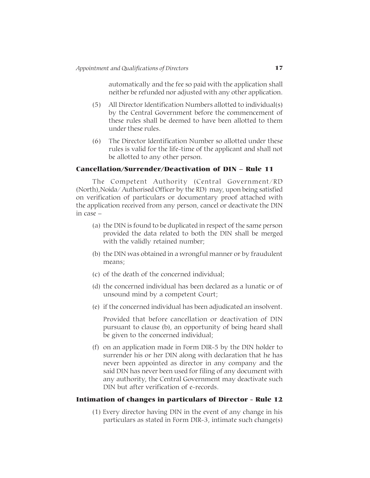automatically and the fee so paid with the application shall neither be refunded nor adjusted with any other application.

- (5) All Director Identification Numbers allotted to individual(s) by the Central Government before the commencement of these rules shall be deemed to have been allotted to them under these rules.
- (6) The Director Identification Number so allotted under these rules is valid for the life-time of the applicant and shall not be allotted to any other person.

# Cancellation/Surrender/Deactivation of DIN – Rule 11

The Competent Authority (Central Government/RD (North),Noida/ Authorised Officer by the RD) may, upon being satisfied on verification of particulars or documentary proof attached with the application received from any person, cancel or deactivate the DIN in case –

- (a) the DIN is found to be duplicated in respect of the same person provided the data related to both the DIN shall be merged with the validly retained number;
- (b) the DIN was obtained in a wrongful manner or by fraudulent means;
- (c) of the death of the concerned individual;
- (d) the concerned individual has been declared as a lunatic or of unsound mind by a competent Court;
- (e) if the concerned individual has been adjudicated an insolvent.

Provided that before cancellation or deactivation of DIN pursuant to clause (b), an opportunity of being heard shall be given to the concerned individual;

(f) on an application made in Form DIR-5 by the DIN holder to surrender his or her DIN along with declaration that he has never been appointed as director in any company and the said DIN has never been used for filing of any document with any authority, the Central Government may deactivate such DIN but after verification of e-records.

# Intimation of changes in particulars of Director - Rule 12

(1) Every director having DIN in the event of any change in his particulars as stated in Form DIR-3, intimate such change(s)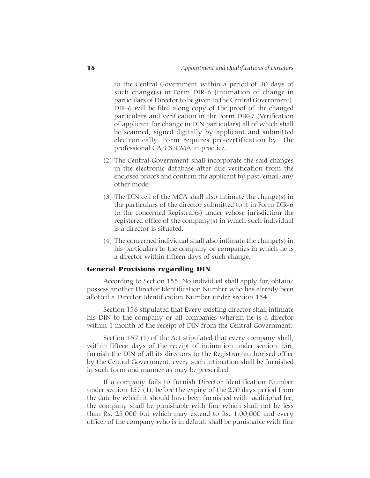to the Central Government within a period of 30 days of such change(s) in Form DIR-6 (Intimation of change in particulars of Director to be given to the Central Government). DIR-6 will be filed along copy of the proof of the changed particulars and verification in the Form DIR-7 (Verification of applicant for change in DIN particulars) all of which shall be scanned, signed digitally by applicant and submitted electronically. Form requires pre-certification by the professional CA/CS/CMA in practice.

- (2) The Central Government shall incorporate the said changes in the electronic database after due verification from the enclosed proofs and confirm the applicant by post/email/any other mode.
- (3) The DIN cell of the MCA shall also intimate the change(s) in the particulars of the director submitted to it in Form DIR-6 to the concerned Registrar(s) under whose jurisdiction the registered office of the company(s) in which such individual is a director is situated.
- (4) The concerned individual shall also intimate the change(s) in his particulars to the company or companies in which he is a director within fifteen days of such change.

# General Provisions regarding DIN

According to Section 155, No individual shall apply for/obtain/ possess another Director Identification Number who has already been allotted a Director Identification Number under section 154.

Section 156 stipulated that Every existing director shall intimate his DIN to the company or all companies wherein he is a director within 1 month of the receipt of DIN from the Central Government.

Section 157 (1) of the Act stipulated that every company shall, within fifteen days of the receipt of intimation under section 156, furnish the DIN of all its directors to the Registrar/authorised office by the Central Government. every such intimation shall be furnished in such form and manner as may be prescribed.

If a company fails to furnish Director Identification Number under section 157 (1), before the expiry of the 270 days period from the date by which it should have been furnished with additional fee, the company shall be punishable with fine which shall not be less than Rs. 25,000 but which may extend to Rs. 1,00,000 and every officer of the company who is in default shall be punishable with fine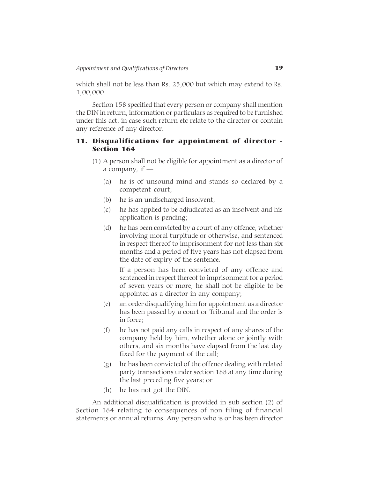which shall not be less than Rs. 25,000 but which may extend to Rs. 1,00,000.

Section 158 specified that every person or company shall mention the DIN in return, information or particulars as required to be furnished under this act, in case such return etc relate to the director or contain any reference of any director.

# 11. Disqualifications for appointment of director - Section 164

- (1) A person shall not be eligible for appointment as a director of a company, if —
	- (a) he is of unsound mind and stands so declared by a competent court;
	- (b) he is an undischarged insolvent;
	- (c) he has applied to be adjudicated as an insolvent and his application is pending;
	- (d) he has been convicted by a court of any offence, whether involving moral turpitude or otherwise, and sentenced in respect thereof to imprisonment for not less than six months and a period of five years has not elapsed from the date of expiry of the sentence.

If a person has been convicted of any offence and sentenced in respect thereof to imprisonment for a period of seven years or more, he shall not be eligible to be appointed as a director in any company;

- (e) an order disqualifying him for appointment as a director has been passed by a court or Tribunal and the order is in force;
- (f) he has not paid any calls in respect of any shares of the company held by him, whether alone or jointly with others, and six months have elapsed from the last day fixed for the payment of the call;
- (g) he has been convicted of the offence dealing with related party transactions under section 188 at any time during the last preceding five years; or
- (h) he has not got the DIN.

An additional disqualification is provided in sub section (2) of Section 164 relating to consequences of non filing of financial statements or annual returns. Any person who is or has been director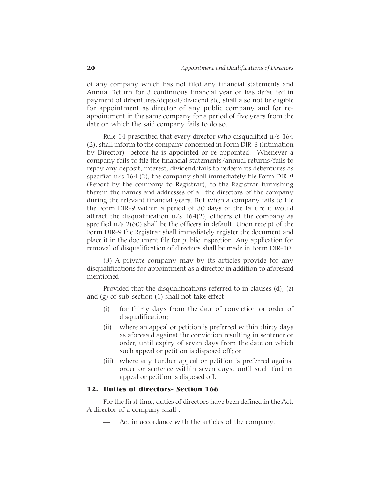of any company which has not filed any financial statements and Annual Return for 3 continuous financial year or has defaulted in payment of debentures/deposit/dividend etc, shall also not be eligible for appointment as director of any public company and for reappointment in the same company for a period of five years from the date on which the said company fails to do so.

Rule 14 prescribed that every director who disqualified u/s 164 (2), shall inform to the company concerned in Form DIR-8 (Intimation by Director) before he is appointed or re-appointed. Whenever a company fails to file the financial statements/annual returns/fails to repay any deposit, interest, dividend/fails to redeem its debentures as specified  $u/s$  164 (2), the company shall immediately file Form DIR-9 (Report by the company to Registrar), to the Registrar furnishing therein the names and addresses of all the directors of the company during the relevant financial years. But when a company fails to file the Form DIR-9 within a period of 30 days of the failure it would attract the disqualification  $u/s$  164(2), officers of the company as specified u/s 2(60) shall be the officers in default. Upon receipt of the Form DIR-9 the Registrar shall immediately register the document and place it in the document file for public inspection. Any application for removal of disqualification of directors shall be made in Form DIR-10.

(3) A private company may by its articles provide for any disqualifications for appointment as a director in addition to aforesaid mentioned

Provided that the disqualifications referred to in clauses (d), (e) and (g) of sub-section (1) shall not take effect—

- (i) for thirty days from the date of conviction or order of disqualification;
- (ii) where an appeal or petition is preferred within thirty days as aforesaid against the conviction resulting in sentence or order, until expiry of seven days from the date on which such appeal or petition is disposed off; or
- (iii) where any further appeal or petition is preferred against order or sentence within seven days, until such further appeal or petition is disposed off.

# 12. Duties of directors- Section 166

For the first time, duties of directors have been defined in the Act. A director of a company shall :

Act in accordance with the articles of the company.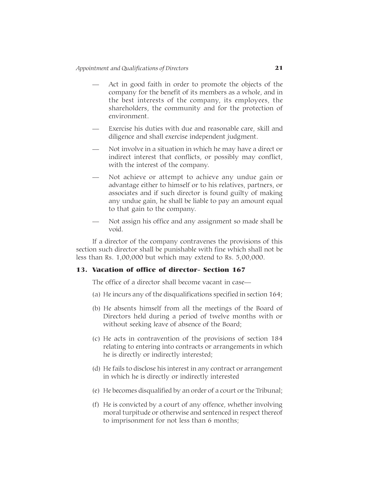- Act in good faith in order to promote the objects of the company for the benefit of its members as a whole, and in the best interests of the company, its employees, the shareholders, the community and for the protection of environment.
- Exercise his duties with due and reasonable care, skill and diligence and shall exercise independent judgment.
- Not involve in a situation in which he may have a direct or indirect interest that conflicts, or possibly may conflict, with the interest of the company.
- Not achieve or attempt to achieve any undue gain or advantage either to himself or to his relatives, partners, or associates and if such director is found guilty of making any undue gain, he shall be liable to pay an amount equal to that gain to the company.
- Not assign his office and any assignment so made shall be void.

If a director of the company contravenes the provisions of this section such director shall be punishable with fine which shall not be less than Rs. 1,00,000 but which may extend to Rs. 5,00,000.

# 13. Vacation of office of director- Section 167

The office of a director shall become vacant in case—

- (a) He incurs any of the disqualifications specified in section 164;
- (b) He absents himself from all the meetings of the Board of Directors held during a period of twelve months with or without seeking leave of absence of the Board;
- (c) He acts in contravention of the provisions of section 184 relating to entering into contracts or arrangements in which he is directly or indirectly interested;
- (d) He fails to disclose his interest in any contract or arrangement in which he is directly or indirectly interested
- (e) He becomes disqualified by an order of a court or the Tribunal;
- (f) He is convicted by a court of any offence, whether involving moral turpitude or otherwise and sentenced in respect thereof to imprisonment for not less than 6 months;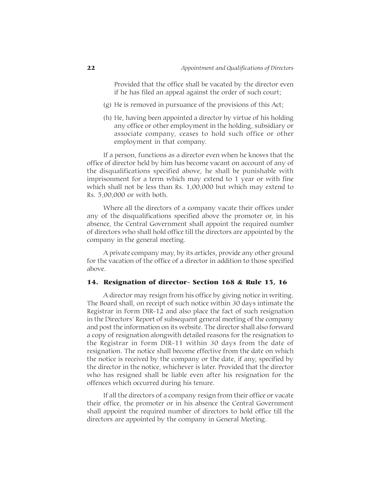Provided that the office shall be vacated by the director even if he has filed an appeal against the order of such court;

- (g) He is removed in pursuance of the provisions of this Act;
- (h) He, having been appointed a director by virtue of his holding any office or other employment in the holding, subsidiary or associate company, ceases to hold such office or other employment in that company.

If a person, functions as a director even when he knows that the office of director held by him has become vacant on account of any of the disqualifications specified above, he shall be punishable with imprisonment for a term which may extend to 1 year or with fine which shall not be less than Rs. 1,00,000 but which may extend to Rs. 5,00,000 or with both.

Where all the directors of a company vacate their offices under any of the disqualifications specified above the promoter or, in his absence, the Central Government shall appoint the required number of directors who shall hold office till the directors are appointed by the company in the general meeting.

A private company may, by its articles, provide any other ground for the vacation of the office of a director in addition to those specified above.

#### 14. Resignation of director- Section 168 & Rule 15, 16

A director may resign from his office by giving notice in writing. The Board shall, on receipt of such notice within 30 days intimate the Registrar in Form DIR-12 and also place the fact of such resignation in the Directors' Report of subsequent general meeting of the company and post the information on its website. The director shall also forward a copy of resignation alongwith detailed reasons for the resignation to the Registrar in Form DIR-11 within 30 days from the date of resignation. The notice shall become effective from the date on which the notice is received by the company or the date, if any, specified by the director in the notice, whichever is later. Provided that the director who has resigned shall be liable even after his resignation for the offences which occurred during his tenure.

If all the directors of a company resign from their office or vacate their office, the promoter or in his absence the Central Government shall appoint the required number of directors to hold office till the directors are appointed by the company in General Meeting.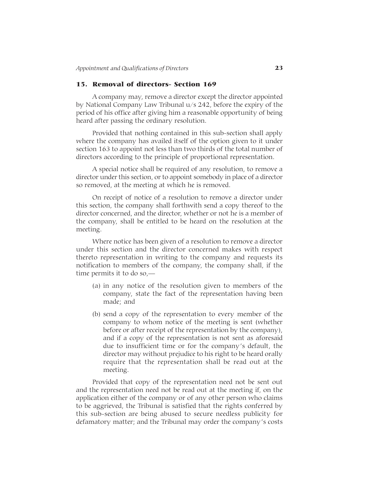# 15. Removal of directors- Section 169

A company may, remove a director except the director appointed by National Company Law Tribunal u/s 242, before the expiry of the period of his office after giving him a reasonable opportunity of being heard after passing the ordinary resolution.

Provided that nothing contained in this sub-section shall apply where the company has availed itself of the option given to it under section 163 to appoint not less than two thirds of the total number of directors according to the principle of proportional representation.

A special notice shall be required of any resolution, to remove a director under this section, or to appoint somebody in place of a director so removed, at the meeting at which he is removed.

On receipt of notice of a resolution to remove a director under this section, the company shall forthwith send a copy thereof to the director concerned, and the director, whether or not he is a member of the company, shall be entitled to be heard on the resolution at the meeting.

Where notice has been given of a resolution to remove a director under this section and the director concerned makes with respect thereto representation in writing to the company and requests its notification to members of the company, the company shall, if the time permits it to do so,—

- (a) in any notice of the resolution given to members of the company, state the fact of the representation having been made; and
- (b) send a copy of the representation to every member of the company to whom notice of the meeting is sent (whether before or after receipt of the representation by the company), and if a copy of the representation is not sent as aforesaid due to insufficient time or for the company's default, the director may without prejudice to his right to be heard orally require that the representation shall be read out at the meeting.

Provided that copy of the representation need not be sent out and the representation need not be read out at the meeting if, on the application either of the company or of any other person who claims to be aggrieved, the Tribunal is satisfied that the rights conferred by this sub-section are being abused to secure needless publicity for defamatory matter; and the Tribunal may order the company's costs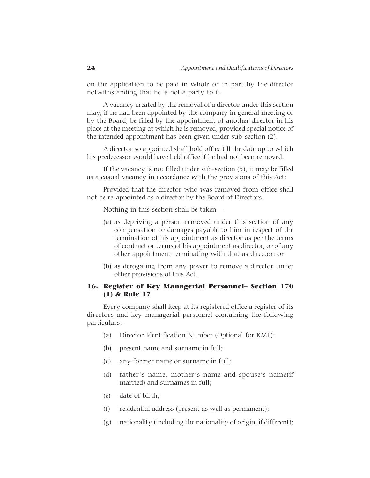on the application to be paid in whole or in part by the director notwithstanding that he is not a party to it.

A vacancy created by the removal of a director under this section may, if he had been appointed by the company in general meeting or by the Board, be filled by the appointment of another director in his place at the meeting at which he is removed, provided special notice of the intended appointment has been given under sub-section (2).

A director so appointed shall hold office till the date up to which his predecessor would have held office if he had not been removed.

If the vacancy is not filled under sub-section (5), it may be filled as a casual vacancy in accordance with the provisions of this Act:

Provided that the director who was removed from office shall not be re-appointed as a director by the Board of Directors.

Nothing in this section shall be taken—

- (a) as depriving a person removed under this section of any compensation or damages payable to him in respect of the termination of his appointment as director as per the terms of contract or terms of his appointment as director, or of any other appointment terminating with that as director; or
- (b) as derogating from any power to remove a director under other provisions of this Act.

# 16. Register of Key Managerial Personnel– Section 170 (1) & Rule 17

Every company shall keep at its registered office a register of its directors and key managerial personnel containing the following particulars:-

- (a) Director Identification Number (Optional for KMP);
- (b) present name and surname in full;
- (c) any former name or surname in full;
- (d) father's name, mother's name and spouse's name(if married) and surnames in full;
- (e) date of birth;
- (f) residential address (present as well as permanent);
- (g) nationality (including the nationality of origin, if different);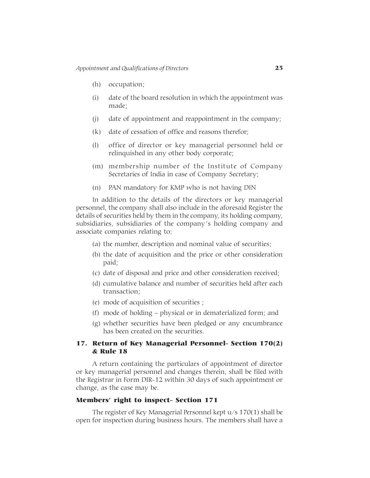- (h) occupation;
- (i) date of the board resolution in which the appointment was made;
- (j) date of appointment and reappointment in the company;
- (k) date of cessation of office and reasons therefor;
- (l) office of director or key managerial personnel held or relinquished in any other body corporate;
- (m) membership number of the Institute of Company Secretaries of India in case of Company Secretary;
- (n) PAN mandatory for KMP who is not having DIN

In addition to the details of the directors or key managerial personnel, the company shall also include in the aforesaid Register the details of securities held by them in the company, its holding company, subsidiaries, subsidiaries of the company's holding company and associate companies relating to:

- (a) the number, description and nominal value of securities;
- (b) the date of acquisition and the price or other consideration paid;
- (c) date of disposal and price and other consideration received;
- (d) cumulative balance and number of securities held after each transaction;
- (e) mode of acquisition of securities ;
- (f) mode of holding physical or in dematerialized form; and
- (g) whether securities have been pledged or any encumbrance has been created on the securities.

# 17. Return of Key Managerial Personnel- Section 170(2) & Rule 18

A return containing the particulars of appointment of director or key managerial personnel and changes therein, shall be filed with the Registrar in Form DIR-12 within 30 days of such appointment or change, as the case may be.

#### Members' right to inspect- Section 171

The register of Key Managerial Personnel kept u/s 170(1) shall be open for inspection during business hours. The members shall have a